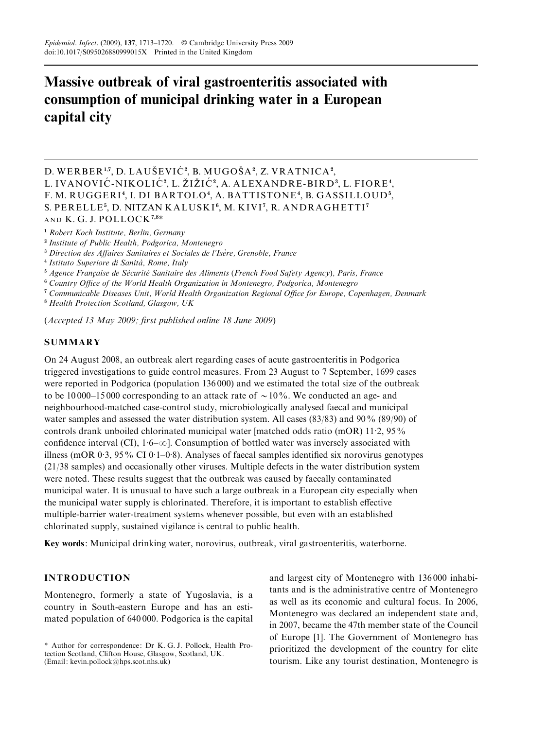# Massive outbreak of viral gastroenteritis associated with consumption of municipal drinking water in a European capital city

D. WERBER<sup>1,7</sup>, D. LAUŠEVIĆ<sup>2</sup>, B. MUGOŠA<sup>2</sup>, Z. VRATNICA<sup>2</sup>, L. IVANOVIĆ-NIKOLIĆ?, L. ŽIŽIĆ?, A. ALEXANDRE-BIRD<sup>3</sup>, L. FIORE<sup>4</sup>, F. M. RUGGERI4, I. DI BARTOLO4, A. BATTISTONE4, B. GASSILLOUD5, S. PERELLE<sup>5</sup>, D. NITZAN KALUSKI<sup>6</sup>, M. KIVI<sup>7</sup>, R. ANDRAGHETTI<sup>7</sup> AND K.G.J. POLLOCK<sup>7,8\*</sup>

<sup>1</sup> Robert Koch Institute, Berlin, Germany

<sup>2</sup> Institute of Public Health, Podgorica, Montenegro

<sup>3</sup> Direction des Affaires Sanitaires et Sociales de l'Isère, Grenoble, France

<sup>4</sup> Istituto Superiore di Sanità, Rome, Italy

<sup>5</sup> Agence Française de Sécurité Sanitaire des Aliments (French Food Safety Agency), Paris, France

<sup>6</sup> Country Office of the World Health Organization in Montenegro, Podgorica, Montenegro

<sup>7</sup> Communicable Diseases Unit, World Health Organization Regional Office for Europe, Copenhagen, Denmark

<sup>8</sup> Health Protection Scotland, Glasgow, UK

(Accepted 13 May 2009; first published online 18 June 2009)

# **SUMMARY**

On 24 August 2008, an outbreak alert regarding cases of acute gastroenteritis in Podgorica triggered investigations to guide control measures. From 23 August to 7 September, 1699 cases were reported in Podgorica (population 136 000) and we estimated the total size of the outbreak to be 10000–15000 corresponding to an attack rate of  $\sim$  10%. We conducted an age- and neighbourhood-matched case-control study, microbiologically analysed faecal and municipal water samples and assessed the water distribution system. All cases (83/83) and 90% (89/90) of controls drank unboiled chlorinated municipal water [matched odds ratio (mOR) 11.2, 95% confidence interval (CI),  $1.6-\infty$ ]. Consumption of bottled water was inversely associated with illness (mOR 0.3, 95% CI 0.1–0.8). Analyses of faecal samples identified six norovirus genotypes (21/38 samples) and occasionally other viruses. Multiple defects in the water distribution system were noted. These results suggest that the outbreak was caused by faecally contaminated municipal water. It is unusual to have such a large outbreak in a European city especially when the municipal water supply is chlorinated. Therefore, it is important to establish effective multiple-barrier water-treatment systems whenever possible, but even with an established chlorinated supply, sustained vigilance is central to public health.

Key words: Municipal drinking water, norovirus, outbreak, viral gastroenteritis, waterborne.

## INTRODUCTION

Montenegro, formerly a state of Yugoslavia, is a country in South-eastern Europe and has an estimated population of 640 000. Podgorica is the capital

and largest city of Montenegro with 136 000 inhabitants and is the administrative centre of Montenegro as well as its economic and cultural focus. In 2006, Montenegro was declared an independent state and, in 2007, became the 47th member state of the Council of Europe [1]. The Government of Montenegro has prioritized the development of the country for elite tourism. Like any tourist destination, Montenegro is

<sup>\*</sup> Author for correspondence: Dr K. G. J. Pollock, Health Protection Scotland, Clifton House, Glasgow, Scotland, UK. (Email: kevin.pollock@hps.scot.nhs.uk)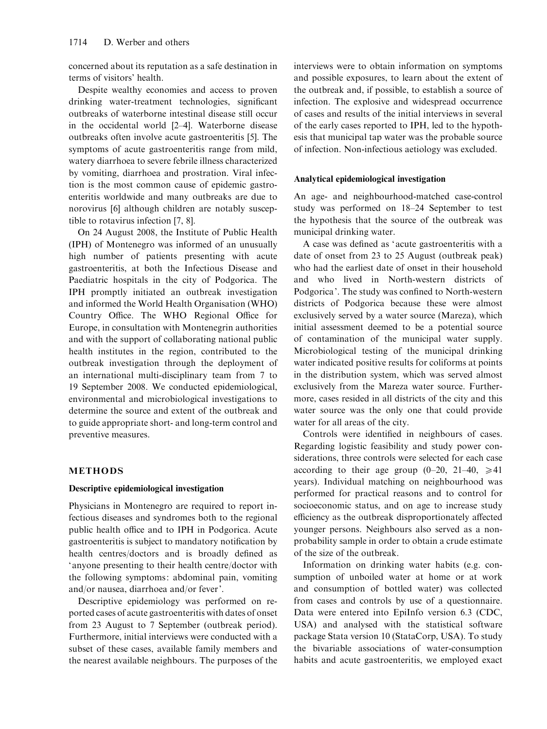concerned about its reputation as a safe destination in terms of visitors' health.

Despite wealthy economies and access to proven drinking water-treatment technologies, significant outbreaks of waterborne intestinal disease still occur in the occidental world [2–4]. Waterborne disease outbreaks often involve acute gastroenteritis [5]. The symptoms of acute gastroenteritis range from mild, watery diarrhoea to severe febrile illness characterized by vomiting, diarrhoea and prostration. Viral infection is the most common cause of epidemic gastroenteritis worldwide and many outbreaks are due to norovirus [6] although children are notably susceptible to rotavirus infection [7, 8].

On 24 August 2008, the Institute of Public Health (IPH) of Montenegro was informed of an unusually high number of patients presenting with acute gastroenteritis, at both the Infectious Disease and Paediatric hospitals in the city of Podgorica. The IPH promptly initiated an outbreak investigation and informed the World Health Organisation (WHO) Country Office. The WHO Regional Office for Europe, in consultation with Montenegrin authorities and with the support of collaborating national public health institutes in the region, contributed to the outbreak investigation through the deployment of an international multi-disciplinary team from 7 to 19 September 2008. We conducted epidemiological, environmental and microbiological investigations to determine the source and extent of the outbreak and to guide appropriate short- and long-term control and preventive measures.

## METHODS

## Descriptive epidemiological investigation

Physicians in Montenegro are required to report infectious diseases and syndromes both to the regional public health office and to IPH in Podgorica. Acute gastroenteritis is subject to mandatory notification by health centres/doctors and is broadly defined as ' anyone presenting to their health centre/doctor with the following symptoms: abdominal pain, vomiting and/or nausea, diarrhoea and/or fever'.

Descriptive epidemiology was performed on reported cases of acute gastroenteritis with dates of onset from 23 August to 7 September (outbreak period). Furthermore, initial interviews were conducted with a subset of these cases, available family members and the nearest available neighbours. The purposes of the interviews were to obtain information on symptoms and possible exposures, to learn about the extent of the outbreak and, if possible, to establish a source of infection. The explosive and widespread occurrence of cases and results of the initial interviews in several of the early cases reported to IPH, led to the hypothesis that municipal tap water was the probable source of infection. Non-infectious aetiology was excluded.

#### Analytical epidemiological investigation

An age- and neighbourhood-matched case-control study was performed on 18–24 September to test the hypothesis that the source of the outbreak was municipal drinking water.

A case was defined as ' acute gastroenteritis with a date of onset from 23 to 25 August (outbreak peak) who had the earliest date of onset in their household and who lived in North-western districts of Podgorica'. The study was confined to North-western districts of Podgorica because these were almost exclusively served by a water source (Mareza), which initial assessment deemed to be a potential source of contamination of the municipal water supply. Microbiological testing of the municipal drinking water indicated positive results for coliforms at points in the distribution system, which was served almost exclusively from the Mareza water source. Furthermore, cases resided in all districts of the city and this water source was the only one that could provide water for all areas of the city.

Controls were identified in neighbours of cases. Regarding logistic feasibility and study power considerations, three controls were selected for each case according to their age group  $(0-20, 21-40, \ge 41)$ years). Individual matching on neighbourhood was performed for practical reasons and to control for socioeconomic status, and on age to increase study efficiency as the outbreak disproportionately affected younger persons. Neighbours also served as a nonprobability sample in order to obtain a crude estimate of the size of the outbreak.

Information on drinking water habits (e.g. consumption of unboiled water at home or at work and consumption of bottled water) was collected from cases and controls by use of a questionnaire. Data were entered into EpiInfo version 6.3 (CDC, USA) and analysed with the statistical software package Stata version 10 (StataCorp, USA). To study the bivariable associations of water-consumption habits and acute gastroenteritis, we employed exact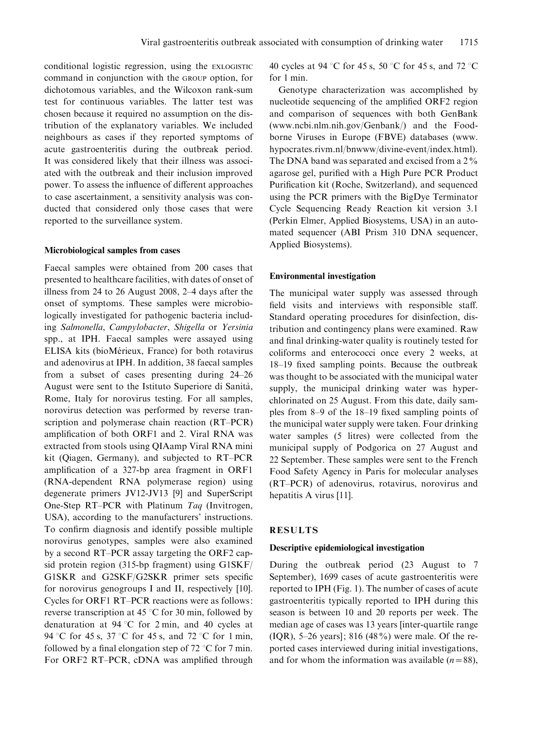conditional logistic regression, using the EXLOGISTIC command in conjunction with the GROUP option, for dichotomous variables, and the Wilcoxon rank-sum test for continuous variables. The latter test was chosen because it required no assumption on the distribution of the explanatory variables. We included neighbours as cases if they reported symptoms of acute gastroenteritis during the outbreak period. It was considered likely that their illness was associated with the outbreak and their inclusion improved power. To assess the influence of different approaches to case ascertainment, a sensitivity analysis was conducted that considered only those cases that were reported to the surveillance system.

#### Microbiological samples from cases

Faecal samples were obtained from 200 cases that presented to healthcare facilities, with dates of onset of illness from 24 to 26 August 2008, 2–4 days after the onset of symptoms. These samples were microbiologically investigated for pathogenic bacteria including Salmonella, Campylobacter, Shigella or Yersinia spp., at IPH. Faecal samples were assayed using ELISA kits (bioMérieux, France) for both rotavirus and adenovirus at IPH. In addition, 38 faecal samples from a subset of cases presenting during 24–26 August were sent to the Istituto Superiore di Sanita`, Rome, Italy for norovirus testing. For all samples, norovirus detection was performed by reverse transcription and polymerase chain reaction (RT–PCR) amplification of both ORF1 and 2. Viral RNA was extracted from stools using QIAamp Viral RNA mini kit (Qiagen, Germany), and subjected to RT–PCR amplification of a 327-bp area fragment in ORF1 (RNA-dependent RNA polymerase region) using degenerate primers JV12-JV13 [9] and SuperScript One-Step RT–PCR with Platinum Taq (Invitrogen, USA), according to the manufacturers' instructions. To confirm diagnosis and identify possible multiple norovirus genotypes, samples were also examined by a second RT–PCR assay targeting the ORF2 capsid protein region (315-bp fragment) using G1SKF/ G1SKR and G2SKF/G2SKR primer sets specific for norovirus genogroups I and II, respectively [10]. Cycles for ORF1 RT–PCR reactions were as follows: reverse transcription at 45  $\degree$ C for 30 min, followed by denaturation at  $94^{\circ}$ C for 2 min, and 40 cycles at 94 °C for 45 s, 37 °C for 45 s, and 72 °C for 1 min, followed by a final elongation step of 72  $\degree$ C for 7 min. For ORF2 RT–PCR, cDNA was amplified through

40 cycles at 94 °C for 45 s, 50 °C for 45 s, and 72 °C for 1 min.

Genotype characterization was accomplished by nucleotide sequencing of the amplified ORF2 region and comparison of sequences with both GenBank (www.ncbi.nlm.nih.gov/Genbank/) and the Foodborne Viruses in Europe (FBVE) databases (www. hypocrates.rivm.nl/bnwww/divine-event/index.html). The DNA band was separated and excised from a  $2\%$ agarose gel, purified with a High Pure PCR Product Purification kit (Roche, Switzerland), and sequenced using the PCR primers with the BigDye Terminator Cycle Sequencing Ready Reaction kit version 3.1 (Perkin Elmer, Applied Biosystems, USA) in an automated sequencer (ABI Prism 310 DNA sequencer, Applied Biosystems).

#### Environmental investigation

The municipal water supply was assessed through field visits and interviews with responsible staff. Standard operating procedures for disinfection, distribution and contingency plans were examined. Raw and final drinking-water quality is routinely tested for coliforms and enterococci once every 2 weeks, at 18–19 fixed sampling points. Because the outbreak was thought to be associated with the municipal water supply, the municipal drinking water was hyperchlorinated on 25 August. From this date, daily samples from 8–9 of the 18–19 fixed sampling points of the municipal water supply were taken. Four drinking water samples (5 litres) were collected from the municipal supply of Podgorica on 27 August and 22 September. These samples were sent to the French Food Safety Agency in Paris for molecular analyses (RT–PCR) of adenovirus, rotavirus, norovirus and hepatitis A virus [11].

## RESULTS

#### Descriptive epidemiological investigation

During the outbreak period (23 August to 7 September), 1699 cases of acute gastroenteritis were reported to IPH (Fig. 1). The number of cases of acute gastroenteritis typically reported to IPH during this season is between 10 and 20 reports per week. The median age of cases was 13 years [inter-quartile range (IQR), 5–26 years]; 816 (48%) were male. Of the reported cases interviewed during initial investigations, and for whom the information was available  $(n=88)$ ,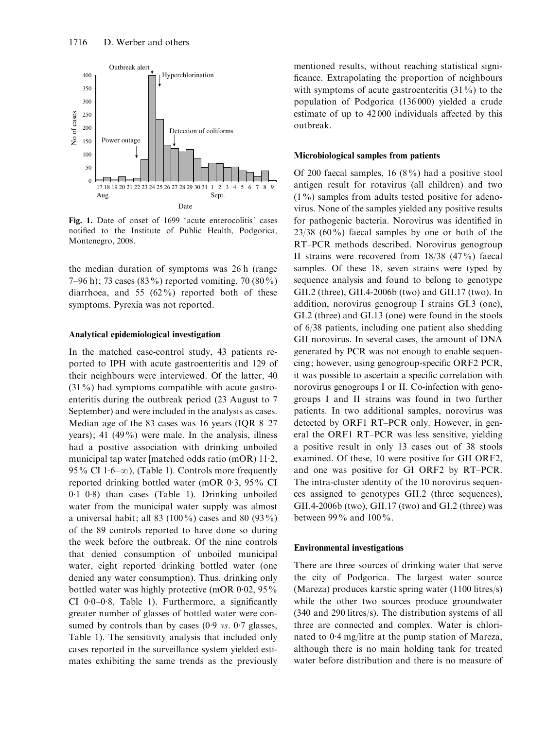

Fig. 1. Date of onset of 1699 'acute enterocolitis' cases notified to the Institute of Public Health, Podgorica, Montenegro, 2008.

the median duration of symptoms was 26 h (range 7–96 h); 73 cases (83%) reported vomiting, 70 (80%) diarrhoea, and 55  $(62\%)$  reported both of these symptoms. Pyrexia was not reported.

#### Analytical epidemiological investigation

In the matched case-control study, 43 patients reported to IPH with acute gastroenteritis and 129 of their neighbours were interviewed. Of the latter, 40 (31%) had symptoms compatible with acute gastroenteritis during the outbreak period (23 August to 7 September) and were included in the analysis as cases. Median age of the 83 cases was 16 years (IQR 8–27) years); 41 (49%) were male. In the analysis, illness had a positive association with drinking unboiled municipal tap water [matched odds ratio (mOR) 11. 2, 95% CI  $1.6-\infty$ ), (Table 1). Controls more frequently reported drinking bottled water (mOR 0.3, 95% CI 0. 1–0. 8) than cases (Table 1). Drinking unboiled water from the municipal water supply was almost a universal habit; all 83 (100%) cases and 80 (93%) of the 89 controls reported to have done so during the week before the outbreak. Of the nine controls that denied consumption of unboiled municipal water, eight reported drinking bottled water (one denied any water consumption). Thus, drinking only bottled water was highly protective (mOR 0.02, 95% CI 0. 0–0. 8, Table 1). Furthermore, a significantly greater number of glasses of bottled water were consumed by controls than by cases  $(0.9 \text{ vs. } 0.7 \text{ glasses},$ Table 1). The sensitivity analysis that included only cases reported in the surveillance system yielded estimates exhibiting the same trends as the previously mentioned results, without reaching statistical significance. Extrapolating the proportion of neighbours with symptoms of acute gastroenteritis  $(31\%)$  to the population of Podgorica (136 000) yielded a crude estimate of up to 42 000 individuals affected by this outbreak.

## Microbiological samples from patients

Of 200 faecal samples, 16 (8%) had a positive stool antigen result for rotavirus (all children) and two  $(1\%)$  samples from adults tested positive for adenovirus. None of the samples yielded any positive results for pathogenic bacteria. Norovirus was identified in 23/38 (60%) faecal samples by one or both of the RT–PCR methods described. Norovirus genogroup II strains were recovered from 18/38 (47%) faecal samples. Of these 18, seven strains were typed by sequence analysis and found to belong to genotype GII.2 (three), GII.4-2006b (two) and GII.17 (two). In addition, norovirus genogroup I strains GI.3 (one), GI.2 (three) and GI.13 (one) were found in the stools of 6/38 patients, including one patient also shedding GII norovirus. In several cases, the amount of DNA generated by PCR was not enough to enable sequencing; however, using genogroup-specific ORF2 PCR, it was possible to ascertain a specific correlation with norovirus genogroups I or II. Co-infection with genogroups I and II strains was found in two further patients. In two additional samples, norovirus was detected by ORF1 RT–PCR only. However, in general the ORF1 RT–PCR was less sensitive, yielding a positive result in only 13 cases out of 38 stools examined. Of these, 10 were positive for GII ORF2, and one was positive for GI ORF2 by RT–PCR. The intra-cluster identity of the 10 norovirus sequences assigned to genotypes GII.2 (three sequences), GII.4-2006b (two), GII.17 (two) and GI.2 (three) was between 99 $\%$  and 100 $\%$ .

#### Environmental investigations

There are three sources of drinking water that serve the city of Podgorica. The largest water source (Mareza) produces karstic spring water (1100 litres/s) while the other two sources produce groundwater (340 and 290 litres/s). The distribution systems of all three are connected and complex. Water is chlorinated to 0. 4 mg/litre at the pump station of Mareza, although there is no main holding tank for treated water before distribution and there is no measure of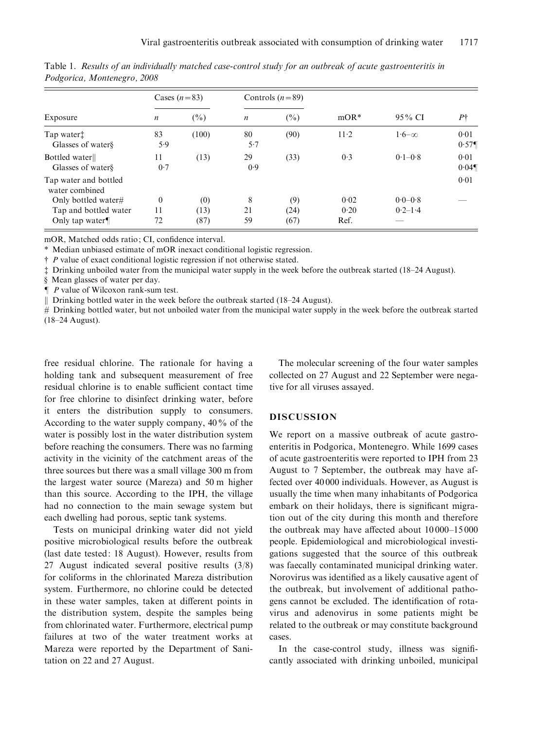| Exposure                                | Cases $(n=83)$   |        | Controls $(n=89)$ |        |        |              |                  |
|-----------------------------------------|------------------|--------|-------------------|--------|--------|--------------|------------------|
|                                         | $\boldsymbol{n}$ | $(\%)$ | $\boldsymbol{n}$  | $(\%)$ | $mOR*$ | 95% CI       | $P\uparrow$      |
| Tap water:<br>Glasses of waters         | 83<br>5.9        | (100)  | 80<br>5.7         | (90)   | $11-2$ | $1.6-\infty$ | 0.01<br>$0.57\P$ |
| Bottled water<br>Glasses of waters      | 11<br>0.7        | (13)   | 29<br>0.9         | (33)   | 0.3    | $0.1 - 0.8$  | 0.01<br>$0.04\P$ |
| Tap water and bottled<br>water combined |                  |        |                   |        |        |              | 0.01             |
| Only bottled water#                     | $\theta$         | (0)    | 8                 | (9)    | 0.02   | $0.0 - 0.8$  |                  |
| Tap and bottled water                   | 11               | (13)   | 21                | (24)   | 0.20   | $0.2 - 1.4$  |                  |
| Only tap water $\P$                     | 72               | (87)   | 59                | (67)   | Ref.   |              |                  |

Table 1. Results of an individually matched case-control study for an outbreak of acute gastroenteritis in Podgorica, Montenegro, 2008

mOR, Matched odds ratio; CI, confidence interval.

\* Median unbiased estimate of mOR inexact conditional logistic regression.

 $\ddagger$  P value of exact conditional logistic regression if not otherwise stated.

\$ Drinking unboiled water from the municipal water supply in the week before the outbreak started (18–24 August).

§ Mean glasses of water per day.

 $\blacksquare$  P value of Wilcoxon rank-sum test.

|| Drinking bottled water in the week before the outbreak started (18–24 August).

# Drinking bottled water, but not unboiled water from the municipal water supply in the week before the outbreak started (18–24 August).

free residual chlorine. The rationale for having a holding tank and subsequent measurement of free residual chlorine is to enable sufficient contact time for free chlorine to disinfect drinking water, before it enters the distribution supply to consumers. According to the water supply company, 40% of the water is possibly lost in the water distribution system before reaching the consumers. There was no farming activity in the vicinity of the catchment areas of the three sources but there was a small village 300 m from the largest water source (Mareza) and 50 m higher than this source. According to the IPH, the village had no connection to the main sewage system but each dwelling had porous, septic tank systems.

Tests on municipal drinking water did not yield positive microbiological results before the outbreak (last date tested: 18 August). However, results from 27 August indicated several positive results (3/8) for coliforms in the chlorinated Mareza distribution system. Furthermore, no chlorine could be detected in these water samples, taken at different points in the distribution system, despite the samples being from chlorinated water. Furthermore, electrical pump failures at two of the water treatment works at Mareza were reported by the Department of Sanitation on 22 and 27 August.

The molecular screening of the four water samples collected on 27 August and 22 September were negative for all viruses assayed.

## **DISCUSSION**

We report on a massive outbreak of acute gastroenteritis in Podgorica, Montenegro. While 1699 cases of acute gastroenteritis were reported to IPH from 23 August to 7 September, the outbreak may have affected over 40 000 individuals. However, as August is usually the time when many inhabitants of Podgorica embark on their holidays, there is significant migration out of the city during this month and therefore the outbreak may have affected about 10 000–15 000 people. Epidemiological and microbiological investigations suggested that the source of this outbreak was faecally contaminated municipal drinking water. Norovirus was identified as a likely causative agent of the outbreak, but involvement of additional pathogens cannot be excluded. The identification of rotavirus and adenovirus in some patients might be related to the outbreak or may constitute background cases.

In the case-control study, illness was significantly associated with drinking unboiled, municipal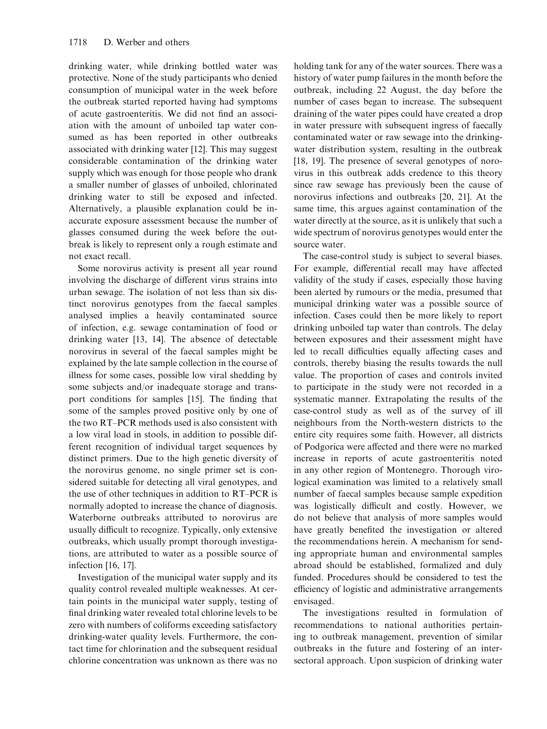drinking water, while drinking bottled water was protective. None of the study participants who denied consumption of municipal water in the week before the outbreak started reported having had symptoms of acute gastroenteritis. We did not find an association with the amount of unboiled tap water consumed as has been reported in other outbreaks associated with drinking water [12]. This may suggest considerable contamination of the drinking water supply which was enough for those people who drank a smaller number of glasses of unboiled, chlorinated drinking water to still be exposed and infected. Alternatively, a plausible explanation could be inaccurate exposure assessment because the number of glasses consumed during the week before the outbreak is likely to represent only a rough estimate and not exact recall.

Some norovirus activity is present all year round involving the discharge of different virus strains into urban sewage. The isolation of not less than six distinct norovirus genotypes from the faecal samples analysed implies a heavily contaminated source of infection, e.g. sewage contamination of food or drinking water [13, 14]. The absence of detectable norovirus in several of the faecal samples might be explained by the late sample collection in the course of illness for some cases, possible low viral shedding by some subjects and/or inadequate storage and transport conditions for samples [15]. The finding that some of the samples proved positive only by one of the two RT–PCR methods used is also consistent with a low viral load in stools, in addition to possible different recognition of individual target sequences by distinct primers. Due to the high genetic diversity of the norovirus genome, no single primer set is considered suitable for detecting all viral genotypes, and the use of other techniques in addition to RT–PCR is normally adopted to increase the chance of diagnosis. Waterborne outbreaks attributed to norovirus are usually difficult to recognize. Typically, only extensive outbreaks, which usually prompt thorough investigations, are attributed to water as a possible source of infection [16, 17].

Investigation of the municipal water supply and its quality control revealed multiple weaknesses. At certain points in the municipal water supply, testing of final drinking water revealed total chlorine levels to be zero with numbers of coliforms exceeding satisfactory drinking-water quality levels. Furthermore, the contact time for chlorination and the subsequent residual chlorine concentration was unknown as there was no

holding tank for any of the water sources. There was a history of water pump failures in the month before the outbreak, including 22 August, the day before the number of cases began to increase. The subsequent draining of the water pipes could have created a drop in water pressure with subsequent ingress of faecally contaminated water or raw sewage into the drinkingwater distribution system, resulting in the outbreak [18, 19]. The presence of several genotypes of norovirus in this outbreak adds credence to this theory since raw sewage has previously been the cause of norovirus infections and outbreaks [20, 21]. At the same time, this argues against contamination of the water directly at the source, as it is unlikely that such a wide spectrum of norovirus genotypes would enter the source water.

The case-control study is subject to several biases. For example, differential recall may have affected validity of the study if cases, especially those having been alerted by rumours or the media, presumed that municipal drinking water was a possible source of infection. Cases could then be more likely to report drinking unboiled tap water than controls. The delay between exposures and their assessment might have led to recall difficulties equally affecting cases and controls, thereby biasing the results towards the null value. The proportion of cases and controls invited to participate in the study were not recorded in a systematic manner. Extrapolating the results of the case-control study as well as of the survey of ill neighbours from the North-western districts to the entire city requires some faith. However, all districts of Podgorica were affected and there were no marked increase in reports of acute gastroenteritis noted in any other region of Montenegro. Thorough virological examination was limited to a relatively small number of faecal samples because sample expedition was logistically difficult and costly. However, we do not believe that analysis of more samples would have greatly benefited the investigation or altered the recommendations herein. A mechanism for sending appropriate human and environmental samples abroad should be established, formalized and duly funded. Procedures should be considered to test the efficiency of logistic and administrative arrangements envisaged.

The investigations resulted in formulation of recommendations to national authorities pertaining to outbreak management, prevention of similar outbreaks in the future and fostering of an intersectoral approach. Upon suspicion of drinking water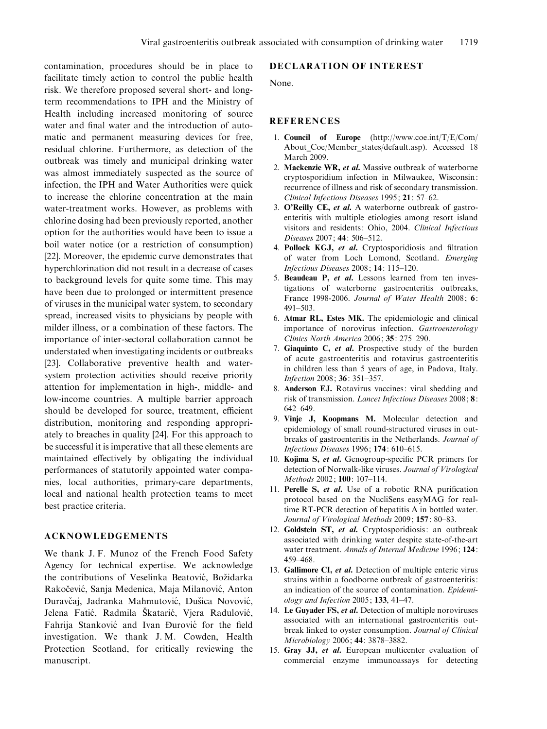contamination, procedures should be in place to facilitate timely action to control the public health risk. We therefore proposed several short- and longterm recommendations to IPH and the Ministry of Health including increased monitoring of source water and final water and the introduction of automatic and permanent measuring devices for free, residual chlorine. Furthermore, as detection of the outbreak was timely and municipal drinking water was almost immediately suspected as the source of infection, the IPH and Water Authorities were quick to increase the chlorine concentration at the main water-treatment works. However, as problems with chlorine dosing had been previously reported, another option for the authorities would have been to issue a boil water notice (or a restriction of consumption) [22]. Moreover, the epidemic curve demonstrates that hyperchlorination did not result in a decrease of cases to background levels for quite some time. This may have been due to prolonged or intermittent presence of viruses in the municipal water system, to secondary spread, increased visits to physicians by people with milder illness, or a combination of these factors. The importance of inter-sectoral collaboration cannot be understated when investigating incidents or outbreaks [23]. Collaborative preventive health and watersystem protection activities should receive priority attention for implementation in high-, middle- and low-income countries. A multiple barrier approach should be developed for source, treatment, efficient distribution, monitoring and responding appropriately to breaches in quality [24]. For this approach to be successful it is imperative that all these elements are maintained effectively by obligating the individual performances of statutorily appointed water companies, local authorities, primary-care departments, local and national health protection teams to meet best practice criteria.

## ACKNOWLEDGEMENTS

We thank J. F. Munoz of the French Food Safety Agency for technical expertise. We acknowledge the contributions of Veselinka Beatović, Božidarka Rakočević, Sanja Medenica, Maja Milanović, Anton Đuravčaj, Jadranka Mahmutović, Dušica Novović, Jelena Fatić, Radmila Škatarić, Vjera Radulović, Fahrija Stanković and Ivan Đurović for the field investigation. We thank J. M. Cowden, Health Protection Scotland, for critically reviewing the manuscript.

## DECLARATION OF INTEREST

None.

#### **REFERENCES**

- 1. Council of Europe (http://www.coe.int/T/E/Com/ About Coe/Member states/default.asp). Accessed 18 March 2009.
- 2. Mackenzie WR, et al. Massive outbreak of waterborne cryptosporidium infection in Milwaukee, Wisconsin: recurrence of illness and risk of secondary transmission. Clinical Infectious Diseases 1995; 21: 57–62.
- 3. O'Reilly CE, et al. A waterborne outbreak of gastroenteritis with multiple etiologies among resort island visitors and residents: Ohio, 2004. Clinical Infectious Diseases 2007; 44: 506–512.
- 4. Pollock KGJ, et al. Cryptosporidiosis and filtration of water from Loch Lomond, Scotland. Emerging Infectious Diseases 2008; 14: 115–120.
- 5. Beaudeau P, et al. Lessons learned from ten investigations of waterborne gastroenteritis outbreaks, France 1998-2006. Journal of Water Health 2008; 6: 491–503.
- 6. Atmar RL, Estes MK. The epidemiologic and clinical importance of norovirus infection. Gastroenterology Clinics North America 2006; 35: 275–290.
- 7. Giaquinto C, et al. Prospective study of the burden of acute gastroenteritis and rotavirus gastroenteritis in children less than 5 years of age, in Padova, Italy. Infection 2008; 36: 351–357.
- 8. Anderson EJ. Rotavirus vaccines: viral shedding and risk of transmission. Lancet Infectious Diseases 2008; 8: 642–649.
- 9. Vinje J, Koopmans M. Molecular detection and epidemiology of small round-structured viruses in outbreaks of gastroenteritis in the Netherlands. Journal of Infectious Diseases 1996; 174: 610–615.
- 10. Kojima S, et al. Genogroup-specific PCR primers for detection of Norwalk-like viruses. Journal of Virological Methods 2002; 100: 107–114.
- 11. Perelle S, et al. Use of a robotic RNA purification protocol based on the NucliSens easyMAG for realtime RT-PCR detection of hepatitis A in bottled water. Journal of Virological Methods 2009; 157: 80-83.
- 12. Goldstein ST, et al. Cryptosporidiosis: an outbreak associated with drinking water despite state-of-the-art water treatment. Annals of Internal Medicine 1996; 124: 459–468.
- 13. Gallimore CI, et al. Detection of multiple enteric virus strains within a foodborne outbreak of gastroenteritis: an indication of the source of contamination. Epidemiology and Infection 2005; 133, 41–47.
- 14. Le Guyader FS, et al. Detection of multiple noroviruses associated with an international gastroenteritis outbreak linked to oyster consumption. Journal of Clinical Microbiology 2006; 44: 3878–3882.
- 15. Gray JJ, et al. European multicenter evaluation of commercial enzyme immunoassays for detecting